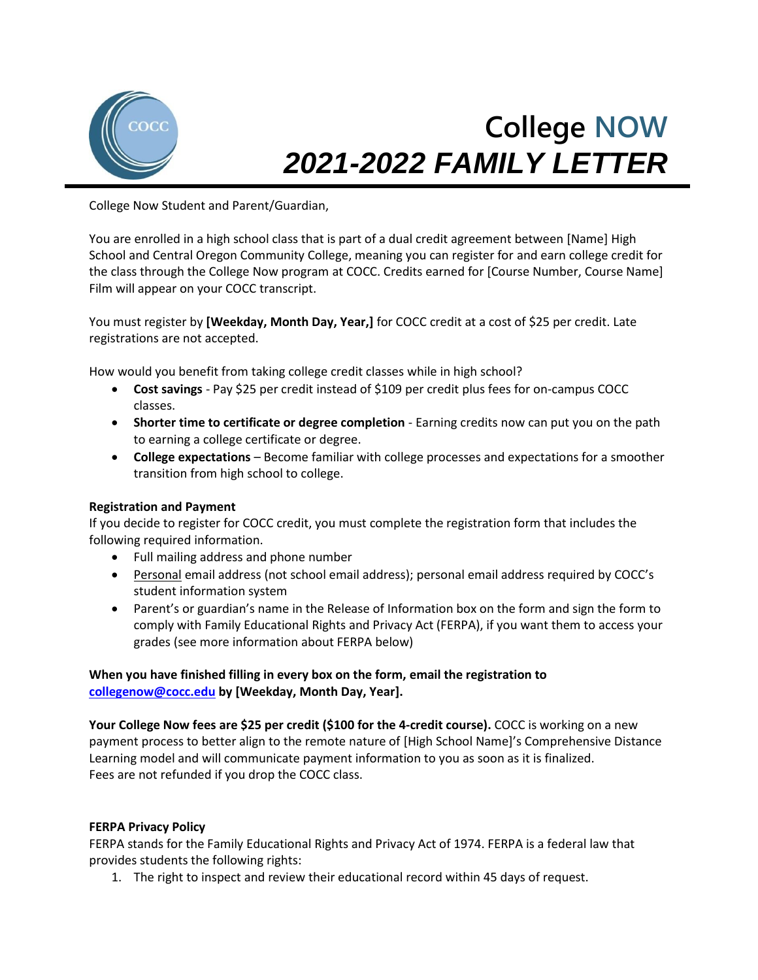

# **College NOW** *2021-2022 FAMILY LETTER*

College Now Student and Parent/Guardian,

You are enrolled in a high school class that is part of a dual credit agreement between [Name] High School and Central Oregon Community College, meaning you can register for and earn college credit for the class through the College Now program at COCC. Credits earned for [Course Number, Course Name] Film will appear on your COCC transcript.

You must register by **[Weekday, Month Day, Year,]** for COCC credit at a cost of \$25 per credit. Late registrations are not accepted.

How would you benefit from taking college credit classes while in high school?

- **Cost savings** Pay \$25 per credit instead of \$109 per credit plus fees for on-campus COCC classes.
- **Shorter time to certificate or degree completion** Earning credits now can put you on the path to earning a college certificate or degree.
- **College expectations** Become familiar with college processes and expectations for a smoother transition from high school to college.

## **Registration and Payment**

If you decide to register for COCC credit, you must complete the registration form that includes the following required information.

- Full mailing address and phone number
- Personal email address (not school email address); personal email address required by COCC's student information system
- Parent's or guardian's name in the Release of Information box on the form and sign the form to comply with Family Educational Rights and Privacy Act (FERPA), if you want them to access your grades (see more information about FERPA below)

## **When you have finished filling in every box on the form, email the registration to [collegenow@cocc.edu](mailto:collegenow@cocc.edu) by [Weekday, Month Day, Year].**

**Your College Now fees are \$25 per credit (\$100 for the 4-credit course).** COCC is working on a new payment process to better align to the remote nature of [High School Name]'s Comprehensive Distance Learning model and will communicate payment information to you as soon as it is finalized. Fees are not refunded if you drop the COCC class.

## **FERPA Privacy Policy**

FERPA stands for the Family Educational Rights and Privacy Act of 1974. FERPA is a federal law that provides students the following rights:

1. The right to inspect and review their educational record within 45 days of request.